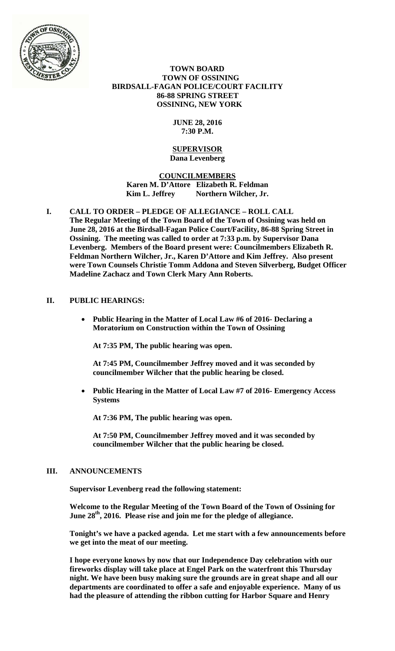

 **TOWN BOARD TOWN OF OSSINING BIRDSALL-FAGAN POLICE/COURT FACILITY 86-88 SPRING STREET OSSINING, NEW YORK** 

# **JUNE 28, 2016 7:30 P.M.**

#### **SUPERVISOR Dana Levenberg**

**COUNCILMEMBERS**

**Karen M. D'Attore Elizabeth R. Feldman**  Kim L. Jeffrey Northern Wilcher, Jr.

**I. CALL TO ORDER – PLEDGE OF ALLEGIANCE – ROLL CALL The Regular Meeting of the Town Board of the Town of Ossining was held on June 28, 2016 at the Birdsall-Fagan Police Court/Facility, 86-88 Spring Street in Ossining. The meeting was called to order at 7:33 p.m. by Supervisor Dana Levenberg. Members of the Board present were: Councilmembers Elizabeth R. Feldman Northern Wilcher, Jr., Karen D'Attore and Kim Jeffrey. Also present were Town Counsels Christie Tomm Addona and Steven Silverberg, Budget Officer Madeline Zachacz and Town Clerk Mary Ann Roberts.** 

# **II. PUBLIC HEARINGS:**

 **Public Hearing in the Matter of Local Law #6 of 2016- Declaring a Moratorium on Construction within the Town of Ossining** 

**At 7:35 PM, The public hearing was open.** 

**At 7:45 PM, Councilmember Jeffrey moved and it was seconded by councilmember Wilcher that the public hearing be closed.** 

 **Public Hearing in the Matter of Local Law #7 of 2016- Emergency Access Systems** 

**At 7:36 PM, The public hearing was open.** 

**At 7:50 PM, Councilmember Jeffrey moved and it was seconded by councilmember Wilcher that the public hearing be closed.** 

# **III. ANNOUNCEMENTS**

**Supervisor Levenberg read the following statement:** 

**Welcome to the Regular Meeting of the Town Board of the Town of Ossining for**  June 28<sup>th</sup>, 2016. Please rise and join me for the pledge of allegiance.

**Tonight's we have a packed agenda. Let me start with a few announcements before we get into the meat of our meeting.** 

**I hope everyone knows by now that our Independence Day celebration with our fireworks display will take place at Engel Park on the waterfront this Thursday night. We have been busy making sure the grounds are in great shape and all our departments are coordinated to offer a safe and enjoyable experience. Many of us had the pleasure of attending the ribbon cutting for Harbor Square and Henry**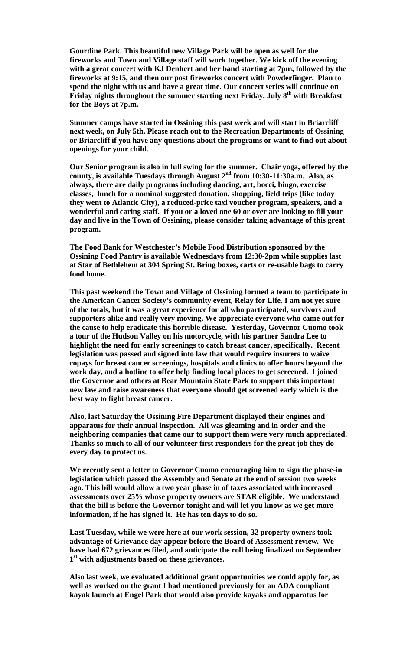**Gourdine Park. This beautiful new Village Park will be open as well for the fireworks and Town and Village staff will work together. We kick off the evening with a great concert with KJ Denhert and her band starting at 7pm, followed by the fireworks at 9:15, and then our post fireworks concert with Powderfinger. Plan to spend the night with us and have a great time. Our concert series will continue on**  Friday nights throughout the summer starting next Friday, July 8<sup>th</sup> with Breakfast **for the Boys at 7p.m.** 

**Summer camps have started in Ossining this past week and will start in Briarcliff next week, on July 5th. Please reach out to the Recreation Departments of Ossining or Briarcliff if you have any questions about the programs or want to find out about openings for your child.** 

**Our Senior program is also in full swing for the summer. Chair yoga, offered by the county, is available Tuesdays through August 2nd from 10:30-11:30a.m. Also, as always, there are daily programs including dancing, art, bocci, bingo, exercise classes, lunch for a nominal suggested donation, shopping, field trips (like today they went to Atlantic City), a reduced-price taxi voucher program, speakers, and a wonderful and caring staff. If you or a loved one 60 or over are looking to fill your day and live in the Town of Ossining, please consider taking advantage of this great program.** 

**The Food Bank for Westchester's Mobile Food Distribution sponsored by the Ossining Food Pantry is available Wednesdays from 12:30-2pm while supplies last at Star of Bethlehem at 304 Spring St. Bring boxes, carts or re-usable bags to carry food home.** 

**This past weekend the Town and Village of Ossining formed a team to participate in the American Cancer Society's community event, Relay for Life. I am not yet sure of the totals, but it was a great experience for all who participated, survivors and supporters alike and really very moving. We appreciate everyone who came out for the cause to help eradicate this horrible disease. Yesterday, Governor Cuomo took a tour of the Hudson Valley on his motorcycle, with his partner Sandra Lee to highlight the need for early screenings to catch breast cancer, specifically. Recent legislation was passed and signed into law that would require insurers to waive copays for breast cancer screenings, hospitals and clinics to offer hours beyond the work day, and a hotline to offer help finding local places to get screened. I joined the Governor and others at Bear Mountain State Park to support this important new law and raise awareness that everyone should get screened early which is the best way to fight breast cancer.** 

**Also, last Saturday the Ossining Fire Department displayed their engines and apparatus for their annual inspection. All was gleaming and in order and the neighboring companies that came our to support them were very much appreciated. Thanks so much to all of our volunteer first responders for the great job they do every day to protect us.** 

**We recently sent a letter to Governor Cuomo encouraging him to sign the phase-in legislation which passed the Assembly and Senate at the end of session two weeks ago. This bill would allow a two year phase in of taxes associated with increased assessments over 25% whose property owners are STAR eligible. We understand that the bill is before the Governor tonight and will let you know as we get more information, if he has signed it. He has ten days to do so.** 

**Last Tuesday, while we were here at our work session, 32 property owners took advantage of Grievance day appear before the Board of Assessment review. We have had 672 grievances filed, and anticipate the roll being finalized on September 1st with adjustments based on these grievances.** 

**Also last week, we evaluated additional grant opportunities we could apply for, as well as worked on the grant I had mentioned previously for an ADA compliant kayak launch at Engel Park that would also provide kayaks and apparatus for**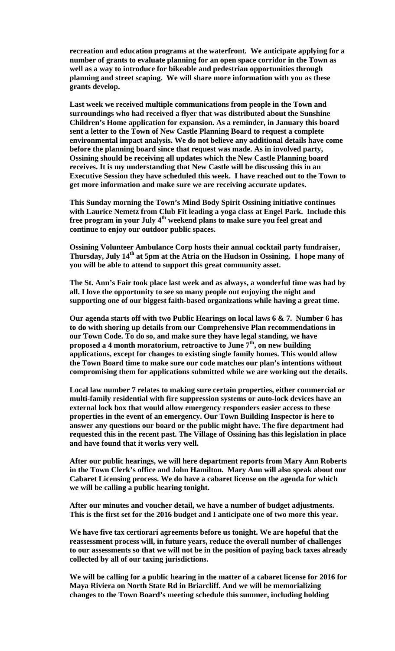**recreation and education programs at the waterfront. We anticipate applying for a number of grants to evaluate planning for an open space corridor in the Town as well as a way to introduce for bikeable and pedestrian opportunities through planning and street scaping. We will share more information with you as these grants develop.** 

**Last week we received multiple communications from people in the Town and surroundings who had received a flyer that was distributed about the Sunshine Children's Home application for expansion. As a reminder, in January this board sent a letter to the Town of New Castle Planning Board to request a complete environmental impact analysis. We do not believe any additional details have come before the planning board since that request was made. As in involved party, Ossining should be receiving all updates which the New Castle Planning board receives. It is my understanding that New Castle will be discussing this in an Executive Session they have scheduled this week. I have reached out to the Town to get more information and make sure we are receiving accurate updates.** 

**This Sunday morning the Town's Mind Body Spirit Ossining initiative continues with Laurice Nemetz from Club Fit leading a yoga class at Engel Park. Include this**  free program in your July 4<sup>th</sup> weekend plans to make sure you feel great and **continue to enjoy our outdoor public spaces.** 

**Ossining Volunteer Ambulance Corp hosts their annual cocktail party fundraiser, Thursday, July 14th at 5pm at the Atria on the Hudson in Ossining. I hope many of you will be able to attend to support this great community asset.** 

**The St. Ann's Fair took place last week and as always, a wonderful time was had by all. I love the opportunity to see so many people out enjoying the night and supporting one of our biggest faith-based organizations while having a great time.** 

**Our agenda starts off with two Public Hearings on local laws 6 & 7. Number 6 has to do with shoring up details from our Comprehensive Plan recommendations in our Town Code. To do so, and make sure they have legal standing, we have proposed a 4 month moratorium, retroactive to June 7th, on new building applications, except for changes to existing single family homes. This would allow the Town Board time to make sure our code matches our plan's intentions without compromising them for applications submitted while we are working out the details.** 

**Local law number 7 relates to making sure certain properties, either commercial or multi-family residential with fire suppression systems or auto-lock devices have an external lock box that would allow emergency responders easier access to these properties in the event of an emergency. Our Town Building Inspector is here to answer any questions our board or the public might have. The fire department had requested this in the recent past. The Village of Ossining has this legislation in place and have found that it works very well.** 

**After our public hearings, we will here department reports from Mary Ann Roberts in the Town Clerk's office and John Hamilton. Mary Ann will also speak about our Cabaret Licensing process. We do have a cabaret license on the agenda for which we will be calling a public hearing tonight.** 

**After our minutes and voucher detail, we have a number of budget adjustments. This is the first set for the 2016 budget and I anticipate one of two more this year.** 

**We have five tax certiorari agreements before us tonight. We are hopeful that the reassessment process will, in future years, reduce the overall number of challenges to our assessments so that we will not be in the position of paying back taxes already collected by all of our taxing jurisdictions.** 

**We will be calling for a public hearing in the matter of a cabaret license for 2016 for Maya Riviera on North State Rd in Briarcliff. And we will be memorializing changes to the Town Board's meeting schedule this summer, including holding**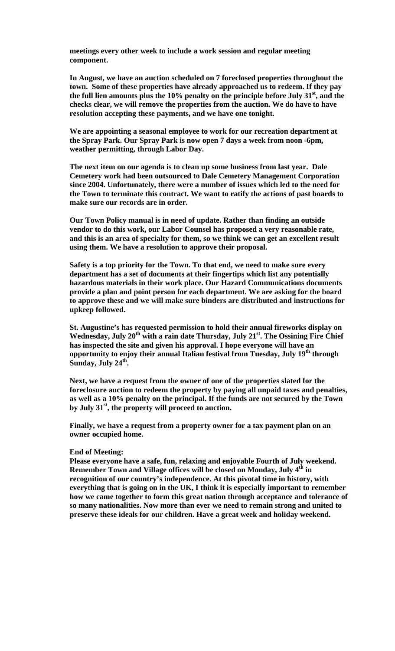**meetings every other week to include a work session and regular meeting component.** 

**In August, we have an auction scheduled on 7 foreclosed properties throughout the town. Some of these properties have already approached us to redeem. If they pay the full lien amounts plus the 10% penalty on the principle before July 31st, and the checks clear, we will remove the properties from the auction. We do have to have resolution accepting these payments, and we have one tonight.** 

**We are appointing a seasonal employee to work for our recreation department at the Spray Park. Our Spray Park is now open 7 days a week from noon -6pm, weather permitting, through Labor Day.** 

**The next item on our agenda is to clean up some business from last year. Dale Cemetery work had been outsourced to Dale Cemetery Management Corporation since 2004. Unfortunately, there were a number of issues which led to the need for the Town to terminate this contract. We want to ratify the actions of past boards to make sure our records are in order.** 

**Our Town Policy manual is in need of update. Rather than finding an outside vendor to do this work, our Labor Counsel has proposed a very reasonable rate, and this is an area of specialty for them, so we think we can get an excellent result using them. We have a resolution to approve their proposal.** 

**Safety is a top priority for the Town. To that end, we need to make sure every department has a set of documents at their fingertips which list any potentially hazardous materials in their work place. Our Hazard Communications documents provide a plan and point person for each department. We are asking for the board to approve these and we will make sure binders are distributed and instructions for upkeep followed.** 

**St. Augustine's has requested permission to hold their annual fireworks display on**  Wednesday, July 20<sup>th</sup> with a rain date Thursday, July 21<sup>st</sup>. The Ossining Fire Chief **has inspected the site and given his approval. I hope everyone will have an opportunity to enjoy their annual Italian festival from Tuesday, July 19th through**  Sunday, July 24<sup>th</sup>.

**Next, we have a request from the owner of one of the properties slated for the foreclosure auction to redeem the property by paying all unpaid taxes and penalties, as well as a 10% penalty on the principal. If the funds are not secured by the Town**  by July 31<sup>st</sup>, the property will proceed to auction.

**Finally, we have a request from a property owner for a tax payment plan on an owner occupied home.** 

#### **End of Meeting:**

**Please everyone have a safe, fun, relaxing and enjoyable Fourth of July weekend. Remember Town and Village offices will be closed on Monday, July 4<sup>th</sup> in recognition of our country's independence. At this pivotal time in history, with everything that is going on in the UK, I think it is especially important to remember how we came together to form this great nation through acceptance and tolerance of so many nationalities. Now more than ever we need to remain strong and united to preserve these ideals for our children. Have a great week and holiday weekend.**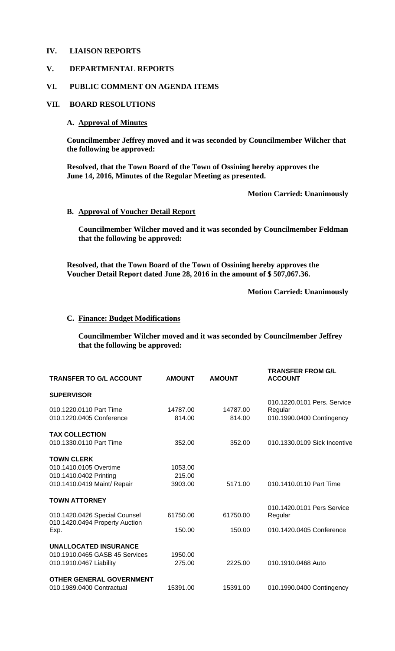### **IV. LIAISON REPORTS**

# **V. DEPARTMENTAL REPORTS**

#### **VI. PUBLIC COMMENT ON AGENDA ITEMS**

#### **VII. BOARD RESOLUTIONS**

# **A. Approval of Minutes**

**Councilmember Jeffrey moved and it was seconded by Councilmember Wilcher that the following be approved:** 

**Resolved, that the Town Board of the Town of Ossining hereby approves the June 14, 2016, Minutes of the Regular Meeting as presented.** 

**Motion Carried: Unanimously** 

#### **B. Approval of Voucher Detail Report**

**Councilmember Wilcher moved and it was seconded by Councilmember Feldman that the following be approved:** 

**Resolved, that the Town Board of the Town of Ossining hereby approves the Voucher Detail Report dated June 28, 2016 in the amount of \$ 507,067.36.** 

**Motion Carried: Unanimously** 

#### **C. Finance: Budget Modifications**

**Councilmember Wilcher moved and it was seconded by Councilmember Jeffrey that the following be approved:** 

| <b>TRANSFER TO G/L ACCOUNT</b>                                  | <b>AMOUNT</b> | <b>AMOUNT</b> | <b>TRANSFER FROM G/L</b><br><b>ACCOUNT</b> |
|-----------------------------------------------------------------|---------------|---------------|--------------------------------------------|
| <b>SUPERVISOR</b>                                               |               |               |                                            |
| 010.1220.0110 Part Time                                         |               |               | 010.1220.0101 Pers. Service                |
|                                                                 | 14787.00      | 14787.00      | Regular                                    |
| 010.1220.0405 Conference                                        | 814.00        | 814.00        | 010.1990.0400 Contingency                  |
| <b>TAX COLLECTION</b>                                           |               |               |                                            |
| 010.1330.0110 Part Time                                         | 352.00        | 352.00        | 010.1330.0109 Sick Incentive               |
| <b>TOWN CLERK</b>                                               |               |               |                                            |
| 010.1410.0105 Overtime                                          | 1053.00       |               |                                            |
| 010.1410.0402 Printing                                          | 215.00        |               |                                            |
| 010.1410.0419 Maint/ Repair                                     | 3903.00       | 5171.00       | 010.1410.0110 Part Time                    |
| <b>TOWN ATTORNEY</b>                                            |               |               |                                            |
|                                                                 |               |               | 010.1420.0101 Pers Service                 |
| 010.1420.0426 Special Counsel<br>010.1420.0494 Property Auction | 61750.00      | 61750.00      | Regular                                    |
| Exp.                                                            | 150.00        | 150.00        | 010.1420.0405 Conference                   |
| <b>UNALLOCATED INSURANCE</b>                                    |               |               |                                            |
| 010.1910.0465 GASB 45 Services                                  | 1950.00       |               |                                            |
| 010.1910.0467 Liability                                         | 275.00        | 2225.00       | 010.1910.0468 Auto                         |
| <b>OTHER GENERAL GOVERNMENT</b>                                 |               |               |                                            |
| 010.1989.0400 Contractual                                       | 15391.00      | 15391.00      | 010.1990.0400 Contingency                  |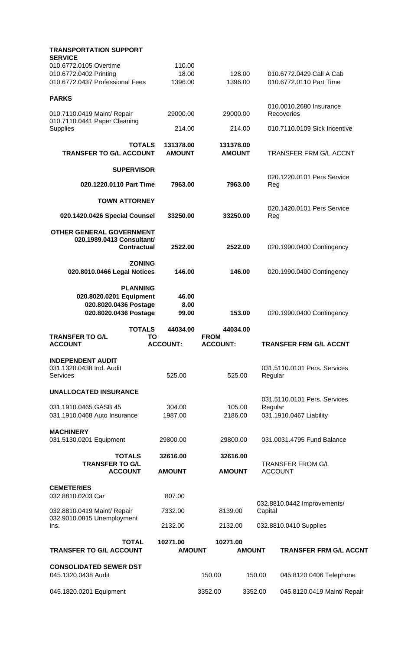| <b>TRANSPORTATION SUPPORT</b>                                                                         |                     |                             |                                            |               |                                                         |
|-------------------------------------------------------------------------------------------------------|---------------------|-----------------------------|--------------------------------------------|---------------|---------------------------------------------------------|
| <b>SERVICE</b><br>010.6772.0105 Overtime<br>010.6772.0402 Printing<br>010.6772.0437 Professional Fees |                     | 110.00<br>18.00<br>1396.00  | 128.00<br>1396.00                          |               | 010.6772.0429 Call A Cab<br>010.6772.0110 Part Time     |
| <b>PARKS</b>                                                                                          |                     |                             |                                            |               |                                                         |
| 010.7110.0419 Maint/ Repair<br>010.7110.0441 Paper Cleaning                                           |                     | 29000.00                    | 29000.00                                   |               | 010.0010.2680 Insurance<br>Recoveries                   |
| <b>Supplies</b>                                                                                       |                     | 214.00                      | 214.00                                     |               | 010.7110.0109 Sick Incentive                            |
| <b>TRANSFER TO G/L ACCOUNT</b>                                                                        | <b>TOTALS</b>       | 131378.00<br><b>AMOUNT</b>  | 131378.00<br><b>AMOUNT</b>                 |               | <b>TRANSFER FRM G/L ACCNT</b>                           |
|                                                                                                       | <b>SUPERVISOR</b>   |                             |                                            |               | 020.1220.0101 Pers Service                              |
| 020.1220.0110 Part Time                                                                               |                     | 7963.00                     | 7963.00                                    | Reg           |                                                         |
| <b>TOWN ATTORNEY</b>                                                                                  |                     |                             |                                            |               | 020.1420.0101 Pers Service                              |
| 020.1420.0426 Special Counsel                                                                         |                     | 33250.00                    | 33250.00                                   | Reg           |                                                         |
| <b>OTHER GENERAL GOVERNMENT</b><br>020.1989.0413 Consultant/                                          | <b>Contractual</b>  | 2522.00                     | 2522.00                                    |               | 020.1990.0400 Contingency                               |
| 020.8010.0466 Legal Notices                                                                           | <b>ZONING</b>       | 146.00                      | 146.00                                     |               | 020.1990.0400 Contingency                               |
| 020.8020.0201 Equipment<br>020.8020.0436 Postage<br>020.8020.0436 Postage                             | <b>PLANNING</b>     | 46.00<br>8.00<br>99.00      | 153.00                                     |               | 020.1990.0400 Contingency                               |
|                                                                                                       |                     |                             |                                            |               |                                                         |
| <b>TRANSFER TO G/L</b><br><b>ACCOUNT</b>                                                              | <b>TOTALS</b><br>ΙO | 44034.00<br><b>ACCOUNT:</b> | 44034.00<br><b>FROM</b><br><b>ACCOUNT:</b> |               | <b>TRANSFER FRM G/L ACCNT</b>                           |
| <b>INDEPENDENT AUDIT</b><br>031.1320.0438 Ind. Audit<br>Services                                      |                     | 525.00                      | 525.00                                     | Regular       | 031.5110.0101 Pers. Services                            |
| <b>UNALLOCATED INSURANCE</b>                                                                          |                     |                             |                                            |               |                                                         |
| 031.1910.0465 GASB 45<br>031.1910.0468 Auto Insurance                                                 |                     | 304.00<br>1987.00           | 105.00<br>2186.00                          | Regular       | 031.5110.0101 Pers. Services<br>031.1910.0467 Liability |
| <b>MACHINERY</b><br>031.5130.0201 Equipment                                                           |                     | 29800.00                    | 29800.00                                   |               | 031.0031.4795 Fund Balance                              |
|                                                                                                       | <b>TOTALS</b>       | 32616.00                    | 32616.00                                   |               |                                                         |
| <b>TRANSFER TO G/L</b><br><b>ACCOUNT</b>                                                              |                     | <b>AMOUNT</b>               | <b>AMOUNT</b>                              |               | <b>TRANSFER FROM G/L</b><br><b>ACCOUNT</b>              |
| <b>CEMETERIES</b><br>032.8810.0203 Car                                                                |                     | 807.00                      |                                            |               |                                                         |
| 032.8810.0419 Maint/ Repair                                                                           |                     | 7332.00                     | 8139.00                                    | Capital       | 032.8810.0442 Improvements/                             |
| 032.9010.0815 Unemployment<br>Ins.                                                                    |                     | 2132.00                     | 2132.00                                    |               | 032.8810.0410 Supplies                                  |
| <b>TRANSFER TO G/L ACCOUNT</b>                                                                        | <b>TOTAL</b>        | 10271.00<br><b>AMOUNT</b>   | 10271.00                                   | <b>AMOUNT</b> | <b>TRANSFER FRM G/L ACCNT</b>                           |
| <b>CONSOLIDATED SEWER DST</b><br>045.1320.0438 Audit                                                  |                     |                             | 150.00                                     | 150.00        | 045.8120.0406 Telephone                                 |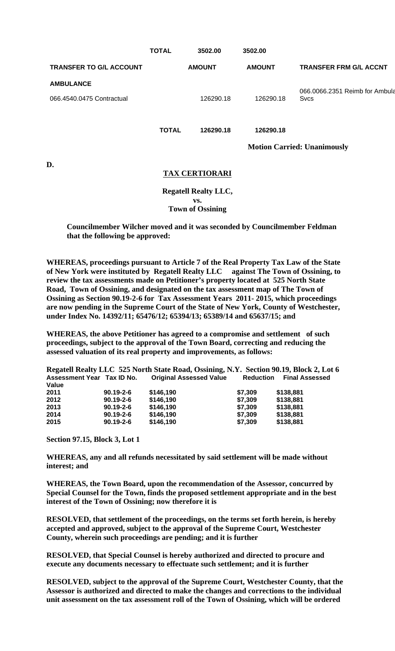|                                               | <b>TOTAL</b> | 3502.00       | 3502.00       |                                               |
|-----------------------------------------------|--------------|---------------|---------------|-----------------------------------------------|
| <b>TRANSFER TO G/L ACCOUNT</b>                |              | <b>AMOUNT</b> | <b>AMOUNT</b> | <b>TRANSFER FRM G/L ACCNT</b>                 |
| <b>AMBULANCE</b><br>066.4540.0475 Contractual |              | 126290.18     | 126290.18     | 066.0066.2351 Reimb for Ambula<br><b>Sycs</b> |
|                                               | <b>TOTAL</b> | 126290.18     | 126290.18     |                                               |

**Motion Carried: Unanimously** 

**D.** 

# **TAX CERTIORARI**

**Regatell Realty LLC, vs. Town of Ossining** 

**Councilmember Wilcher moved and it was seconded by Councilmember Feldman that the following be approved:** 

**WHEREAS, proceedings pursuant to Article 7 of the Real Property Tax Law of the State of New York were instituted by Regatell Realty LLC against The Town of Ossining, to review the tax assessments made on Petitioner's property located at 525 North State Road, Town of Ossining, and designated on the tax assessment map of The Town of Ossining as Section 90.19-2-6 for Tax Assessment Years 2011- 2015, which proceedings are now pending in the Supreme Court of the State of New York, County of Westchester, under Index No. 14392/11; 65476/12; 65394/13; 65389/14 and 65637/15; and** 

**WHEREAS, the above Petitioner has agreed to a compromise and settlement of such proceedings, subject to the approval of the Town Board, correcting and reducing the assessed valuation of its real property and improvements, as follows:** 

**Regatell Realty LLC 525 North State Road, Ossining, N.Y. Section 90.19, Block 2, Lot 6 Assessment Year Tax ID No. Value 2011 90.19-2-6 \$146,190 \$7,309 \$138,881 20.19-2-6 2013 90.19-2-6 \$146,190 \$7,309 \$138,881 2014 90.19-2-6 \$146,190 \$7,309 \$138,881 2015 90.19-2-6 \$146,190 \$7,309 \$138,881**

**Section 97.15, Block 3, Lot 1** 

**WHEREAS, any and all refunds necessitated by said settlement will be made without interest; and** 

**WHEREAS, the Town Board, upon the recommendation of the Assessor, concurred by Special Counsel for the Town, finds the proposed settlement appropriate and in the best interest of the Town of Ossining; now therefore it is** 

**RESOLVED, that settlement of the proceedings, on the terms set forth herein, is hereby accepted and approved, subject to the approval of the Supreme Court, Westchester County, wherein such proceedings are pending; and it is further** 

**RESOLVED, that Special Counsel is hereby authorized and directed to procure and execute any documents necessary to effectuate such settlement; and it is further** 

**RESOLVED, subject to the approval of the Supreme Court, Westchester County, that the Assessor is authorized and directed to make the changes and corrections to the individual unit assessment on the tax assessment roll of the Town of Ossining, which will be ordered**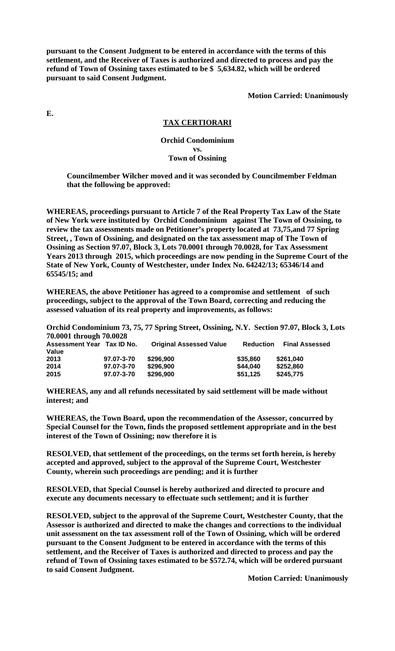**pursuant to the Consent Judgment to be entered in accordance with the terms of this settlement, and the Receiver of Taxes is authorized and directed to process and pay the refund of Town of Ossining taxes estimated to be \$ 5,634.82, which will be ordered pursuant to said Consent Judgment.** 

**Motion Carried: Unanimously** 

**E.** 

# **TAX CERTIORARI**

### **Orchid Condominium vs. Town of Ossining**

**Councilmember Wilcher moved and it was seconded by Councilmember Feldman that the following be approved:** 

**WHEREAS, proceedings pursuant to Article 7 of the Real Property Tax Law of the State of New York were instituted by Orchid Condominium against The Town of Ossining, to review the tax assessments made on Petitioner's property located at 73,75,and 77 Spring Street, , Town of Ossining, and designated on the tax assessment map of The Town of Ossining as Section 97.07, Block 3, Lots 70.0001 through 70.0028, for Tax Assessment Years 2013 through 2015, which proceedings are now pending in the Supreme Court of the State of New York, County of Westchester, under Index No. 64242/13; 65346/14 and 65545/15; and** 

**WHEREAS, the above Petitioner has agreed to a compromise and settlement of such proceedings, subject to the approval of the Town Board, correcting and reducing the assessed valuation of its real property and improvements, as follows:** 

**Orchid Condominium 73, 75, 77 Spring Street, Ossining, N.Y. Section 97.07, Block 3, Lots 70.0001 through 70.0028** 

| Assessment Year Tax ID No.<br>Value |            | <b>Original Assessed Value</b> | <b>Reduction</b> | <b>Final Assessed</b> |
|-------------------------------------|------------|--------------------------------|------------------|-----------------------|
| 2013                                | 97.07-3-70 | \$296,900                      | \$35,860         | \$261,040             |
| 2014                                | 97.07-3-70 | \$296,900                      | \$44,040         | \$252.860             |
| 2015                                | 97.07-3-70 | \$296,900                      | \$51,125         | \$245,775             |

**WHEREAS, any and all refunds necessitated by said settlement will be made without interest; and** 

**WHEREAS, the Town Board, upon the recommendation of the Assessor, concurred by Special Counsel for the Town, finds the proposed settlement appropriate and in the best interest of the Town of Ossining; now therefore it is** 

**RESOLVED, that settlement of the proceedings, on the terms set forth herein, is hereby accepted and approved, subject to the approval of the Supreme Court, Westchester County, wherein such proceedings are pending; and it is further** 

**RESOLVED, that Special Counsel is hereby authorized and directed to procure and execute any documents necessary to effectuate such settlement; and it is further** 

**RESOLVED, subject to the approval of the Supreme Court, Westchester County, that the Assessor is authorized and directed to make the changes and corrections to the individual unit assessment on the tax assessment roll of the Town of Ossining, which will be ordered pursuant to the Consent Judgment to be entered in accordance with the terms of this settlement, and the Receiver of Taxes is authorized and directed to process and pay the refund of Town of Ossining taxes estimated to be \$572.74, which will be ordered pursuant to said Consent Judgment.** 

**Motion Carried: Unanimously**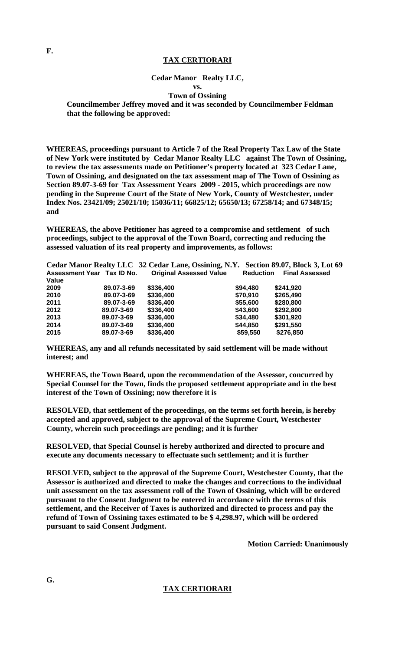# **TAX CERTIORARI**

### **Cedar Manor Realty LLC,**

**vs.** 

#### **Town of Ossining**

**Councilmember Jeffrey moved and it was seconded by Councilmember Feldman that the following be approved:** 

**WHEREAS, proceedings pursuant to Article 7 of the Real Property Tax Law of the State of New York were instituted by Cedar Manor Realty LLC against The Town of Ossining, to review the tax assessments made on Petitioner's property located at 323 Cedar Lane, Town of Ossining, and designated on the tax assessment map of The Town of Ossining as Section 89.07-3-69 for Tax Assessment Years 2009 - 2015, which proceedings are now pending in the Supreme Court of the State of New York, County of Westchester, under Index Nos. 23421/09; 25021/10; 15036/11; 66825/12; 65650/13; 67258/14; and 67348/15; and** 

**WHEREAS, the above Petitioner has agreed to a compromise and settlement of such proceedings, subject to the approval of the Town Board, correcting and reducing the assessed valuation of its real property and improvements, as follows:** 

|                            |            | Cedar Manor Realty LLC 32 Cedar Lane, Ossining, N.Y. Section 89.07, Block 3, Lot 69 |                  |                       |
|----------------------------|------------|-------------------------------------------------------------------------------------|------------------|-----------------------|
| Assessment Year Tax ID No. |            | <b>Original Assessed Value</b>                                                      | <b>Reduction</b> | <b>Final Assessed</b> |
| Value                      |            |                                                                                     |                  |                       |
| 2009                       | 89.07-3-69 | \$336,400                                                                           | \$94,480         | \$241,920             |
| 2010                       | 89.07-3-69 | \$336,400                                                                           | \$70,910         | \$265,490             |
| 2011                       | 89.07-3-69 | \$336,400                                                                           | \$55,600         | \$280,800             |
| 2012                       | 89.07-3-69 | \$336,400                                                                           | \$43,600         | \$292,800             |
| 2013                       | 89.07-3-69 | \$336,400                                                                           | \$34,480         | \$301,920             |
| 2014                       | 89.07-3-69 | \$336,400                                                                           | \$44,850         | \$291,550             |
| 2015                       | 89.07-3-69 | \$336,400                                                                           | \$59,550         | \$276,850             |

**WHEREAS, any and all refunds necessitated by said settlement will be made without interest; and** 

**WHEREAS, the Town Board, upon the recommendation of the Assessor, concurred by Special Counsel for the Town, finds the proposed settlement appropriate and in the best interest of the Town of Ossining; now therefore it is** 

**RESOLVED, that settlement of the proceedings, on the terms set forth herein, is hereby accepted and approved, subject to the approval of the Supreme Court, Westchester County, wherein such proceedings are pending; and it is further** 

**RESOLVED, that Special Counsel is hereby authorized and directed to procure and execute any documents necessary to effectuate such settlement; and it is further** 

**RESOLVED, subject to the approval of the Supreme Court, Westchester County, that the Assessor is authorized and directed to make the changes and corrections to the individual unit assessment on the tax assessment roll of the Town of Ossining, which will be ordered pursuant to the Consent Judgment to be entered in accordance with the terms of this settlement, and the Receiver of Taxes is authorized and directed to process and pay the refund of Town of Ossining taxes estimated to be \$ 4,298.97, which will be ordered pursuant to said Consent Judgment.** 

**Motion Carried: Unanimously** 

**TAX CERTIORARI**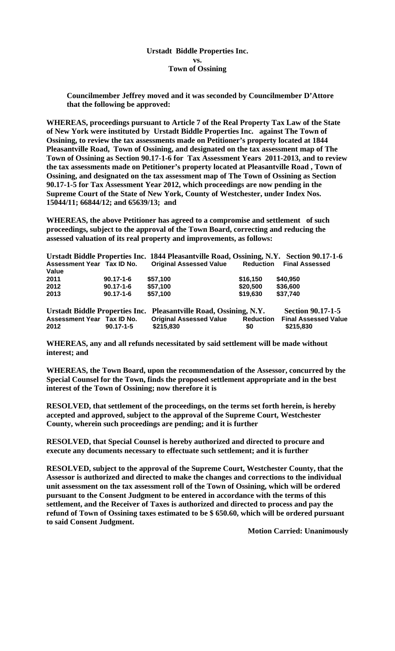**Urstadt Biddle Properties Inc. vs. Town of Ossining** 

**Councilmember Jeffrey moved and it was seconded by Councilmember D'Attore that the following be approved:** 

**WHEREAS, proceedings pursuant to Article 7 of the Real Property Tax Law of the State of New York were instituted by Urstadt Biddle Properties Inc. against The Town of Ossining, to review the tax assessments made on Petitioner's property located at 1844 Pleasantville Road, Town of Ossining, and designated on the tax assessment map of The Town of Ossining as Section 90.17-1-6 for Tax Assessment Years 2011-2013, and to review the tax assessments made on Petitioner's property located at Pleasantville Road , Town of Ossining, and designated on the tax assessment map of The Town of Ossining as Section 90.17-1-5 for Tax Assessment Year 2012, which proceedings are now pending in the Supreme Court of the State of New York, County of Westchester, under Index Nos. 15044/11; 66844/12; and 65639/13; and** 

**WHEREAS, the above Petitioner has agreed to a compromise and settlement of such proceedings, subject to the approval of the Town Board, correcting and reducing the assessed valuation of its real property and improvements, as follows:** 

|                                   |                 | Urstadt Biddle Properties Inc. 1844 Pleasantville Road, Ossining, N.Y. Section 90.17-1-6 |                  |                             |
|-----------------------------------|-----------------|------------------------------------------------------------------------------------------|------------------|-----------------------------|
| Assessment Year Tax ID No.        |                 | <b>Original Assessed Value</b>                                                           | <b>Reduction</b> | <b>Final Assessed</b>       |
| Value                             |                 |                                                                                          |                  |                             |
| 2011                              | $90.17 - 1 - 6$ | \$57.100                                                                                 | \$16,150         | \$40,950                    |
| 2012                              | $90.17 - 1 - 6$ | \$57,100                                                                                 | \$20,500         | \$36,600                    |
| 2013                              | $90.17 - 1 - 6$ | \$57,100                                                                                 | \$19,630         | \$37,740                    |
|                                   |                 | Urstadt Biddle Properties Inc. Pleasantville Road, Ossining, N.Y.                        |                  | <b>Section 90.17-1-5</b>    |
| <b>Assessment Year Tax ID No.</b> |                 | <b>Original Assessed Value</b>                                                           | <b>Reduction</b> | <b>Final Assessed Value</b> |

**WHEREAS, any and all refunds necessitated by said settlement will be made without interest; and** 

**2012 90.17-1-5 \$215,830 \$0 \$215,830** 

**WHEREAS, the Town Board, upon the recommendation of the Assessor, concurred by the Special Counsel for the Town, finds the proposed settlement appropriate and in the best interest of the Town of Ossining; now therefore it is** 

**RESOLVED, that settlement of the proceedings, on the terms set forth herein, is hereby accepted and approved, subject to the approval of the Supreme Court, Westchester County, wherein such proceedings are pending; and it is further** 

**RESOLVED, that Special Counsel is hereby authorized and directed to procure and execute any documents necessary to effectuate such settlement; and it is further** 

**RESOLVED, subject to the approval of the Supreme Court, Westchester County, that the Assessor is authorized and directed to make the changes and corrections to the individual unit assessment on the tax assessment roll of the Town of Ossining, which will be ordered pursuant to the Consent Judgment to be entered in accordance with the terms of this settlement, and the Receiver of Taxes is authorized and directed to process and pay the refund of Town of Ossining taxes estimated to be \$ 650.60, which will be ordered pursuant to said Consent Judgment.** 

**Motion Carried: Unanimously**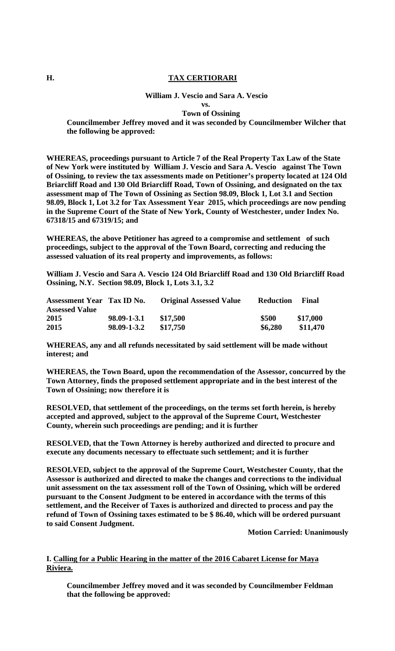# **H. TAX CERTIORARI**

#### **William J. Vescio and Sara A. Vescio**

 **vs. Town of Ossining** 

**Councilmember Jeffrey moved and it was seconded by Councilmember Wilcher that the following be approved:** 

**WHEREAS, proceedings pursuant to Article 7 of the Real Property Tax Law of the State of New York were instituted by William J. Vescio and Sara A. Vescio against The Town of Ossining, to review the tax assessments made on Petitioner's property located at 124 Old Briarcliff Road and 130 Old Briarcliff Road, Town of Ossining, and designated on the tax assessment map of The Town of Ossining as Section 98.09, Block 1, Lot 3.1 and Section 98.09, Block 1, Lot 3.2 for Tax Assessment Year 2015, which proceedings are now pending in the Supreme Court of the State of New York, County of Westchester, under Index No. 67318/15 and 67319/15; and** 

**WHEREAS, the above Petitioner has agreed to a compromise and settlement of such proceedings, subject to the approval of the Town Board, correcting and reducing the assessed valuation of its real property and improvements, as follows:** 

**William J. Vescio and Sara A. Vescio 124 Old Briarcliff Road and 130 Old Briarcliff Road Ossining, N.Y. Section 98.09, Block 1, Lots 3.1, 3.2** 

| <b>Assessment Year Tax ID No.</b> |             | <b>Original Assessed Value</b> | <b>Reduction</b> | Final    |
|-----------------------------------|-------------|--------------------------------|------------------|----------|
| <b>Assessed Value</b>             |             |                                |                  |          |
| 2015                              | 98.09-1-3.1 | \$17.500                       | \$500            | \$17,000 |
| 2015                              | 98.09-1-3.2 | \$17.750                       | \$6,280          | \$11,470 |

**WHEREAS, any and all refunds necessitated by said settlement will be made without interest; and** 

**WHEREAS, the Town Board, upon the recommendation of the Assessor, concurred by the Town Attorney, finds the proposed settlement appropriate and in the best interest of the Town of Ossining; now therefore it is** 

**RESOLVED, that settlement of the proceedings, on the terms set forth herein, is hereby accepted and approved, subject to the approval of the Supreme Court, Westchester County, wherein such proceedings are pending; and it is further** 

**RESOLVED, that the Town Attorney is hereby authorized and directed to procure and execute any documents necessary to effectuate such settlement; and it is further** 

**RESOLVED, subject to the approval of the Supreme Court, Westchester County, that the Assessor is authorized and directed to make the changes and corrections to the individual unit assessment on the tax assessment roll of the Town of Ossining, which will be ordered pursuant to the Consent Judgment to be entered in accordance with the terms of this settlement, and the Receiver of Taxes is authorized and directed to process and pay the refund of Town of Ossining taxes estimated to be \$ 86.40, which will be ordered pursuant to said Consent Judgment.** 

**Motion Carried: Unanimously** 

# **I. Calling for a Public Hearing in the matter of the 2016 Cabaret License for Maya Riviera.**

**Councilmember Jeffrey moved and it was seconded by Councilmember Feldman that the following be approved:**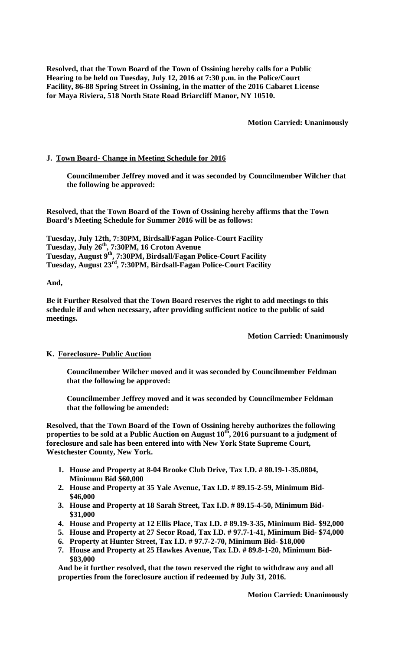**Resolved, that the Town Board of the Town of Ossining hereby calls for a Public Hearing to be held on Tuesday, July 12, 2016 at 7:30 p.m. in the Police/Court Facility, 86-88 Spring Street in Ossining, in the matter of the 2016 Cabaret License for Maya Riviera, 518 North State Road Briarcliff Manor, NY 10510.** 

**Motion Carried: Unanimously** 

# **J. Town Board- Change in Meeting Schedule for 2016**

**Councilmember Jeffrey moved and it was seconded by Councilmember Wilcher that the following be approved:** 

**Resolved, that the Town Board of the Town of Ossining hereby affirms that the Town Board's Meeting Schedule for Summer 2016 will be as follows:** 

**Tuesday, July 12th, 7:30PM, Birdsall/Fagan Police-Court Facility Tuesday, July 26th, 7:30PM, 16 Croton Avenue Tuesday, August 9th, 7:30PM, Birdsall/Fagan Police-Court Facility Tuesday, August 23rd, 7:30PM, Birdsall-Fagan Police-Court Facility** 

# **And,**

**Be it Further Resolved that the Town Board reserves the right to add meetings to this schedule if and when necessary, after providing sufficient notice to the public of said meetings.** 

**Motion Carried: Unanimously** 

# **K. Foreclosure- Public Auction**

**Councilmember Wilcher moved and it was seconded by Councilmember Feldman that the following be approved:** 

**Councilmember Jeffrey moved and it was seconded by Councilmember Feldman that the following be amended:** 

**Resolved, that the Town Board of the Town of Ossining hereby authorizes the following properties to be sold at a Public Auction on August 10th, 2016 pursuant to a judgment of foreclosure and sale has been entered into with New York State Supreme Court, Westchester County, New York.** 

- **1. House and Property at 8-04 Brooke Club Drive, Tax I.D. # 80.19-1-35.0804, Minimum Bid \$60,000**
- **2. House and Property at 35 Yale Avenue, Tax I.D. # 89.15-2-59, Minimum Bid- \$46,000**
- **3. House and Property at 18 Sarah Street, Tax I.D. # 89.15-4-50, Minimum Bid- \$31,000**
- **4. House and Property at 12 Ellis Place, Tax I.D. # 89.19-3-35, Minimum Bid- \$92,000**
- **5. House and Property at 27 Secor Road, Tax I.D. # 97.7-1-41, Minimum Bid- \$74,000**
- **6. Property at Hunter Street, Tax I.D. # 97.7-2-70, Minimum Bid- \$18,000**
- **7. House and Property at 25 Hawkes Avenue, Tax I.D. # 89.8-1-20, Minimum Bid- \$83,000**

**And be it further resolved, that the town reserved the right to withdraw any and all properties from the foreclosure auction if redeemed by July 31, 2016.** 

**Motion Carried: Unanimously**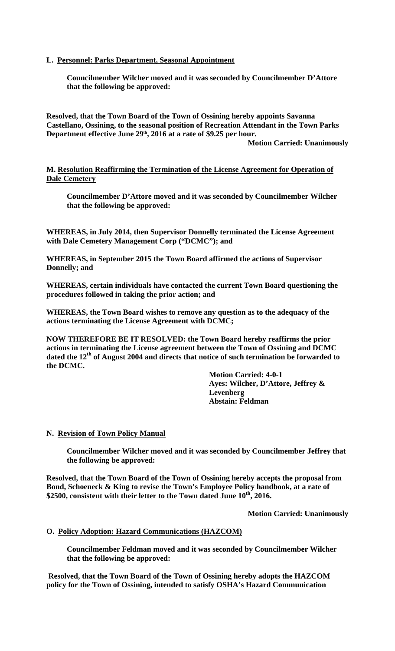# **L. Personnel: Parks Department, Seasonal Appointment**

**Councilmember Wilcher moved and it was seconded by Councilmember D'Attore that the following be approved:** 

**Resolved, that the Town Board of the Town of Ossining hereby appoints Savanna Castellano, Ossining, to the seasonal position of Recreation Attendant in the Town Parks**  Department effective June 29<sup>th</sup>, 2016 at a rate of \$9.25 per hour. **Motion Carried: Unanimously** 

**M. Resolution Reaffirming the Termination of the License Agreement for Operation of Dale Cemetery** 

**Councilmember D'Attore moved and it was seconded by Councilmember Wilcher that the following be approved:** 

**WHEREAS, in July 2014, then Supervisor Donnelly terminated the License Agreement with Dale Cemetery Management Corp ("DCMC"); and** 

**WHEREAS, in September 2015 the Town Board affirmed the actions of Supervisor Donnelly; and** 

**WHEREAS, certain individuals have contacted the current Town Board questioning the procedures followed in taking the prior action; and** 

**WHEREAS, the Town Board wishes to remove any question as to the adequacy of the actions terminating the License Agreement with DCMC;** 

**NOW THEREFORE BE IT RESOLVED: the Town Board hereby reaffirms the prior actions in terminating the License agreement between the Town of Ossining and DCMC dated the 12th of August 2004 and directs that notice of such termination be forwarded to the DCMC.** 

**Motion Carried: 4-0-1 Ayes: Wilcher, D'Attore, Jeffrey & Levenberg Abstain: Feldman** 

# **N. Revision of Town Policy Manual**

**Councilmember Wilcher moved and it was seconded by Councilmember Jeffrey that the following be approved:** 

**Resolved, that the Town Board of the Town of Ossining hereby accepts the proposal from Bond, Schoeneck & King to revise the Town's Employee Policy handbook, at a rate of**  \$2500, consistent with their letter to the Town dated June 10<sup>th</sup>, 2016.

**Motion Carried: Unanimously** 

### **O. Policy Adoption: Hazard Communications (HAZCOM)**

**Councilmember Feldman moved and it was seconded by Councilmember Wilcher that the following be approved:** 

 **Resolved, that the Town Board of the Town of Ossining hereby adopts the HAZCOM policy for the Town of Ossining, intended to satisfy OSHA's Hazard Communication**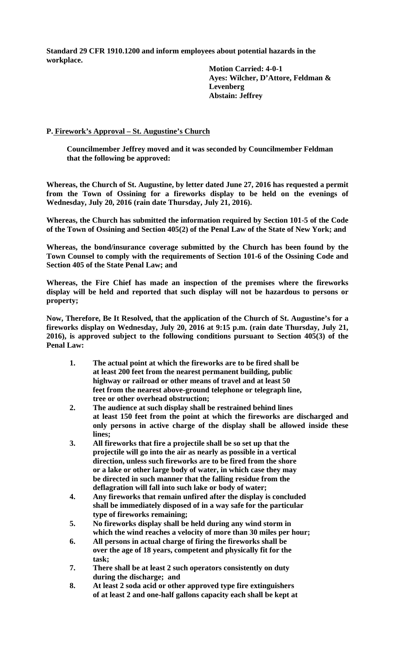**Standard 29 CFR 1910.1200 and inform employees about potential hazards in the workplace.** 

> **Motion Carried: 4-0-1 Ayes: Wilcher, D'Attore, Feldman & Levenberg Abstain: Jeffrey**

# **P. Firework's Approval – St. Augustine's Church**

**Councilmember Jeffrey moved and it was seconded by Councilmember Feldman that the following be approved:** 

**Whereas, the Church of St. Augustine, by letter dated June 27, 2016 has requested a permit from the Town of Ossining for a fireworks display to be held on the evenings of Wednesday, July 20, 2016 (rain date Thursday, July 21, 2016).** 

**Whereas, the Church has submitted the information required by Section 101-5 of the Code of the Town of Ossining and Section 405(2) of the Penal Law of the State of New York; and** 

**Whereas, the bond/insurance coverage submitted by the Church has been found by the Town Counsel to comply with the requirements of Section 101-6 of the Ossining Code and Section 405 of the State Penal Law; and** 

**Whereas, the Fire Chief has made an inspection of the premises where the fireworks display will be held and reported that such display will not be hazardous to persons or property;** 

**Now, Therefore, Be It Resolved, that the application of the Church of St. Augustine's for a fireworks display on Wednesday, July 20, 2016 at 9:15 p.m. (rain date Thursday, July 21, 2016), is approved subject to the following conditions pursuant to Section 405(3) of the Penal Law:** 

- **1. The actual point at which the fireworks are to be fired shall be at least 200 feet from the nearest permanent building, public highway or railroad or other means of travel and at least 50 feet from the nearest above-ground telephone or telegraph line, tree or other overhead obstruction;**
- **2. The audience at such display shall be restrained behind lines at least 150 feet from the point at which the fireworks are discharged and only persons in active charge of the display shall be allowed inside these lines;**
- **3. All fireworks that fire a projectile shall be so set up that the projectile will go into the air as nearly as possible in a vertical direction, unless such fireworks are to be fired from the shore or a lake or other large body of water, in which case they may be directed in such manner that the falling residue from the deflagration will fall into such lake or body of water;**
- **4. Any fireworks that remain unfired after the display is concluded shall be immediately disposed of in a way safe for the particular type of fireworks remaining;**
- **5. No fireworks display shall be held during any wind storm in which the wind reaches a velocity of more than 30 miles per hour;**
- **6. All persons in actual charge of firing the fireworks shall be over the age of 18 years, competent and physically fit for the task;**
- **7. There shall be at least 2 such operators consistently on duty during the discharge; and**
- **8. At least 2 soda acid or other approved type fire extinguishers of at least 2 and one-half gallons capacity each shall be kept at**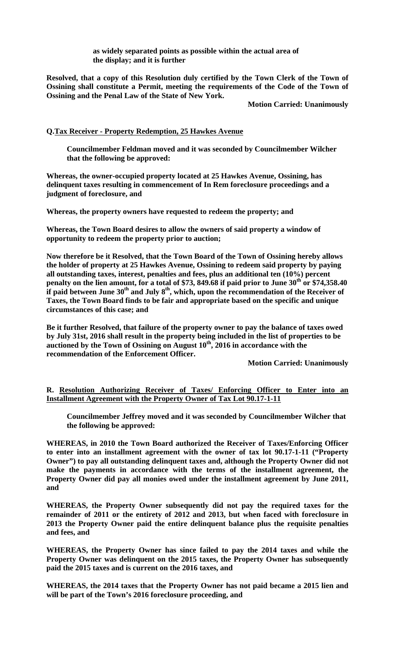**as widely separated points as possible within the actual area of the display; and it is further** 

**Resolved, that a copy of this Resolution duly certified by the Town Clerk of the Town of Ossining shall constitute a Permit, meeting the requirements of the Code of the Town of Ossining and the Penal Law of the State of New York.** 

**Motion Carried: Unanimously** 

# **Q.Tax Receiver - Property Redemption, 25 Hawkes Avenue**

**Councilmember Feldman moved and it was seconded by Councilmember Wilcher that the following be approved:** 

**Whereas, the owner-occupied property located at 25 Hawkes Avenue, Ossining, has delinquent taxes resulting in commencement of In Rem foreclosure proceedings and a judgment of foreclosure, and** 

**Whereas, the property owners have requested to redeem the property; and** 

**Whereas, the Town Board desires to allow the owners of said property a window of opportunity to redeem the property prior to auction;** 

**Now therefore be it Resolved, that the Town Board of the Town of Ossining hereby allows the holder of property at 25 Hawkes Avenue, Ossining to redeem said property by paying all outstanding taxes, interest, penalties and fees, plus an additional ten (10%) percent**  penalty on the lien amount, for a total of \$73, 849.68 if paid prior to June 30<sup>th</sup> or \$74,358.40 if paid between June 30<sup>th</sup> and July 8<sup>th</sup>, which, upon the recommendation of the Receiver of **Taxes, the Town Board finds to be fair and appropriate based on the specific and unique circumstances of this case; and** 

**Be it further Resolved, that failure of the property owner to pay the balance of taxes owed by July 31st, 2016 shall result in the property being included in the list of properties to be**  auctioned by the Town of Ossining on August  $10^{th}$ , 2016 in accordance with the **recommendation of the Enforcement Officer.** 

**Motion Carried: Unanimously** 

# **R. Resolution Authorizing Receiver of Taxes/ Enforcing Officer to Enter into an Installment Agreement with the Property Owner of Tax Lot 90.17-1-11**

**Councilmember Jeffrey moved and it was seconded by Councilmember Wilcher that the following be approved:** 

**WHEREAS, in 2010 the Town Board authorized the Receiver of Taxes/Enforcing Officer to enter into an installment agreement with the owner of tax lot 90.17-1-11 ("Property Owner") to pay all outstanding delinquent taxes and, although the Property Owner did not make the payments in accordance with the terms of the installment agreement, the Property Owner did pay all monies owed under the installment agreement by June 2011, and** 

**WHEREAS, the Property Owner subsequently did not pay the required taxes for the remainder of 2011 or the entirety of 2012 and 2013, but when faced with foreclosure in 2013 the Property Owner paid the entire delinquent balance plus the requisite penalties and fees, and** 

**WHEREAS, the Property Owner has since failed to pay the 2014 taxes and while the Property Owner was delinquent on the 2015 taxes, the Property Owner has subsequently paid the 2015 taxes and is current on the 2016 taxes, and** 

**WHEREAS, the 2014 taxes that the Property Owner has not paid became a 2015 lien and will be part of the Town's 2016 foreclosure proceeding, and**